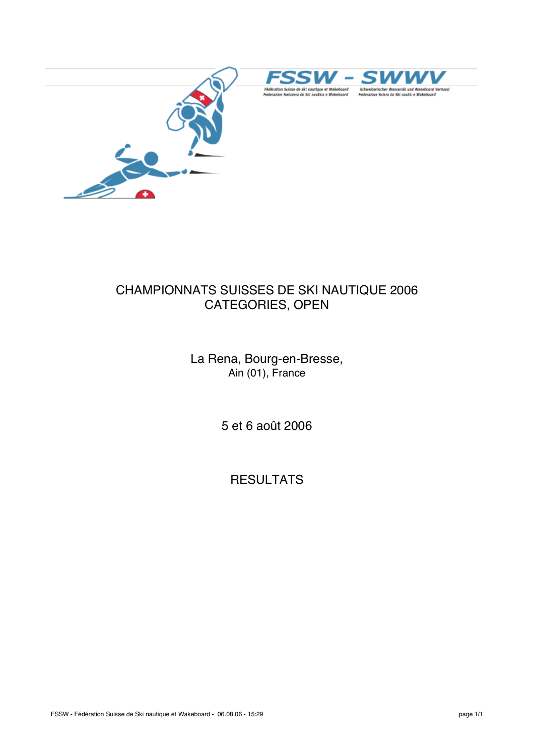





## CHAMPIONNATS SUISSES DE SKI NAUTIQUE 2006 CATEGORIES, OPEN

La Rena, Bourg-en-Bresse, Ain (01), France

5 et 6 août 2006

**RESULTATS**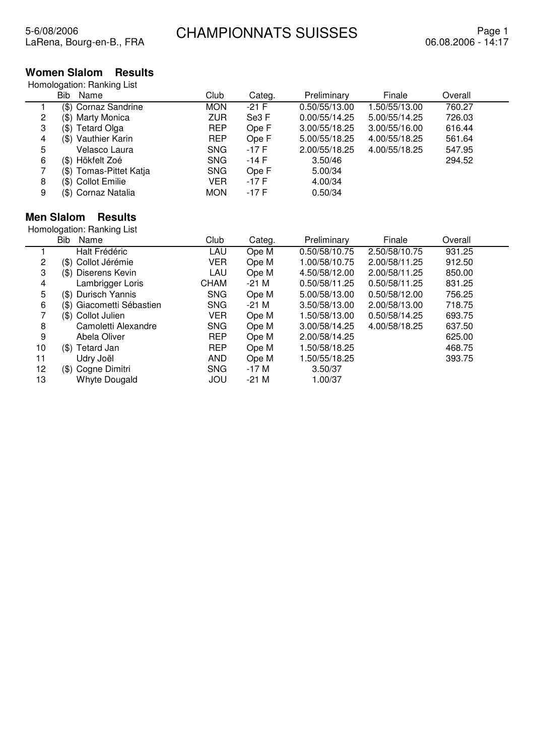## **Women Slalom Results**

|   | Bib<br>Name             | Club       | Categ.  | Preliminary   | Finale        | Overall |  |
|---|-------------------------|------------|---------|---------------|---------------|---------|--|
|   | (\$) Cornaz Sandrine    | <b>MON</b> | $-21$ F | 0.50/55/13.00 | 1.50/55/13.00 | 760.27  |  |
| 2 | (\$) Marty Monica       | <b>ZUR</b> | Se3 F   | 0.00/55/14.25 | 5.00/55/14.25 | 726.03  |  |
| 3 | (\$) Tetard Olga        | <b>REP</b> | Ope F   | 3.00/55/18.25 | 3.00/55/16.00 | 616.44  |  |
| 4 | (\$) Vauthier Karin     | <b>REP</b> | Ope F   | 5.00/55/18.25 | 4.00/55/18.25 | 561.64  |  |
| 5 | Velasco Laura           | <b>SNG</b> | -17 F   | 2.00/55/18.25 | 4.00/55/18.25 | 547.95  |  |
| 6 | (\$) Hökfelt Zoé        | <b>SNG</b> | -14 F   | 3.50/46       |               | 294.52  |  |
|   | (\$) Tomas-Pittet Katja | <b>SNG</b> | Ope F   | 5.00/34       |               |         |  |
| 8 | (\$) Collot Emilie      | VER        | -17 F   | 4.00/34       |               |         |  |
| 9 | (\$) Cornaz Natalia     | <b>MON</b> | -17 F   | 0.50/34       |               |         |  |

## **Men Slalom Results**

|    | <b>Bib</b><br>Name        | Club        | Categ.  | Preliminary   | Finale        | Overall |  |
|----|---------------------------|-------------|---------|---------------|---------------|---------|--|
|    | Halt Frédéric             | LAU         | Ope M   | 0.50/58/10.75 | 2.50/58/10.75 | 931.25  |  |
| 2  | (\$) Collot Jérémie       | <b>VER</b>  | Ope M   | 1.00/58/10.75 | 2.00/58/11.25 | 912.50  |  |
| 3  | Diserens Kevin<br>(\$)    | LAU         | Ope M   | 4.50/58/12.00 | 2.00/58/11.25 | 850.00  |  |
| 4  | Lambrigger Loris          | <b>CHAM</b> | $-21$ M | 0.50/58/11.25 | 0.50/58/11.25 | 831.25  |  |
| 5  | Durisch Yannis<br>(\$)    | <b>SNG</b>  | Ope M   | 5.00/58/13.00 | 0.50/58/12.00 | 756.25  |  |
| 6  | (\$) Giacometti Sébastien | <b>SNG</b>  | -21 M   | 3.50/58/13.00 | 2.00/58/13.00 | 718.75  |  |
|    | (\$) Collot Julien        | <b>VER</b>  | Ope M   | 1.50/58/13.00 | 0.50/58/14.25 | 693.75  |  |
| 8  | Camoletti Alexandre       | <b>SNG</b>  | Ope M   | 3.00/58/14.25 | 4.00/58/18.25 | 637.50  |  |
| 9  | Abela Oliver              | <b>REP</b>  | Ope M   | 2.00/58/14.25 |               | 625.00  |  |
| 10 | (\$) Tetard Jan           | <b>REP</b>  | Ope M   | 1.50/58/18.25 |               | 468.75  |  |
| 11 | Udry Joël                 | AND         | Ope M   | 1.50/55/18.25 |               | 393.75  |  |
| 12 | (\$) Cogne Dimitri        | <b>SNG</b>  | $-17M$  | 3.50/37       |               |         |  |
| 13 | Whyte Dougald             | JOU         | $-21$ M | 1.00/37       |               |         |  |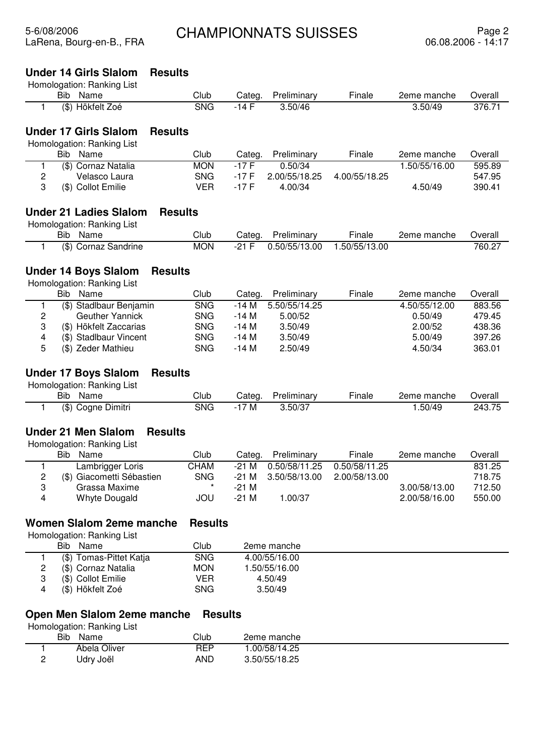### **Under 14 Girls Slalom Results**

| Homologation: Ranking List                                 |                |               |        |             |        |                                           |         |
|------------------------------------------------------------|----------------|---------------|--------|-------------|--------|-------------------------------------------|---------|
| Name<br>Bib.                                               |                | Club          | Categ. | Preliminary | Finale | 2eme manche                               | Overall |
| (\$) Hökfelt Zoé                                           |                | <b>SNG</b>    | -14 F  | 3.50/46     |        | 3.50/49                                   | 376.71  |
| <b>Under 17 Girls Slalom</b><br>Homologation: Ranking List | <b>Results</b> |               |        |             |        |                                           |         |
| $\mathbf{E}$                                               |                | $\sim$ $\sim$ |        |             |        | $\sim$ $\sim$ $\sim$ $\sim$ $\sim$ $\sim$ |         |

| Bib<br>Name         | Club       | Categ.  | Preliminary | Finale        | 2eme manche  | Overall |
|---------------------|------------|---------|-------------|---------------|--------------|---------|
| (\$) Cornaz Natalia | <b>MON</b> | $-17$ F | 0.50/34     |               | .50/55/16.00 | 595.89  |
| Velasco Laura       | SNG.       | -17 F   |             | 4.00/55/18.25 |              | 547.95  |
| (\$) Collot Emilie  | VFR        | -17 F   | 4.00/34     |               | 4.50/49      | 390.41  |
|                     |            |         |             | 2.00/55/18.25 |              |         |

## **Under 21 Ladies Slalom Results**

Homologation: Ranking List

| Bib<br>Name                | Club       | Categ   | Preliminary   | --<br>⊦inale | 2eme manche | Overall |
|----------------------------|------------|---------|---------------|--------------|-------------|---------|
| (\$)<br>Sandrine<br>Cornaz | <b>MON</b> | n1<br>E | 0.50/55/13.00 | .50/55/13.00 |             | 760.27  |

### **Under 14 Boys Slalom Results**

Homologation: Ranking List

|   | Bib.<br>Name            | Club       | Categ. | Preliminary   | Finale | 2eme manche   | Overall |
|---|-------------------------|------------|--------|---------------|--------|---------------|---------|
|   | (\$) Stadlbaur Benjamin | SNG.       | -14 M  | 5.50/55/14.25 |        | 4.50/55/12.00 | 883.56  |
|   | <b>Geuther Yannick</b>  | SNG.       | -14 M  | 5.00/52       |        | 0.50/49       | 479.45  |
|   | (\$) Hökfelt Zaccarias  | SNG.       | -14 M  | 3.50/49       |        | 2.00/52       | 438.36  |
| 4 | (\$) Stadlbaur Vincent  | SNG.       | -14 M  | 3.50/49       |        | 5.00/49       | 397.26  |
| b | (\$) Zeder Mathieu      | <b>SNG</b> | -14 M  | 2.50/49       |        | 4.50/34       | 363.01  |

## **Under 17 Boys Slalom Results**

Homologation: Ranking List

| <b>Bib</b><br>Name                      | Club | تatec    | Preliminary | $- \cdot$<br>-ınale | manche<br>2eme | Jverall |
|-----------------------------------------|------|----------|-------------|---------------------|----------------|---------|
| / ሱ<br>- -<br>ا Ulmitri<br>soane<br>۱JD | SNC  | <b>M</b> | 3.50/37     |                     | .50/49         | つハつ     |

## **Under 21 Men Slalom Results**

| Homologation: Ranking List |  |
|----------------------------|--|
|                            |  |

|   | Bib | Name                      | Club       | Categ.  | Preliminary   | Finale        | 2eme manche   | Overall |
|---|-----|---------------------------|------------|---------|---------------|---------------|---------------|---------|
|   |     | Lambrigger Loris          | CHAM       | -21 M   | 0.50/58/11.25 | 0.50/58/11.25 |               | 831.25  |
|   |     | (\$) Giacometti Sébastien | <b>SNG</b> | -21 M   | 3.50/58/13.00 | 2.00/58/13.00 |               | 718.75  |
| 3 |     | Grassa Maxime             |            | -21 M   |               |               | 3.00/58/13.00 | 712.50  |
| 4 |     | Whyte Dougald             | JOU        | $-21$ M | 1.00/37       |               | 2.00/58/16.00 | 550.00  |

### **Women Slalom 2eme manche Results**

Homologation: Ranking List

 $\overline{\phantom{0}}$ 

| Bib<br>Name             | Club       | 2eme manche   |  |
|-------------------------|------------|---------------|--|
| (\$) Tomas-Pittet Katja | <b>SNG</b> | 4.00/55/16.00 |  |
| (\$) Cornaz Natalia     | <b>MON</b> | .50/55/16.00  |  |
| (\$) Collot Emilie      | VER        | 4.50/49       |  |
| (\$) Hökfelt Zoé        | <b>SNG</b> | 3.50/49       |  |

#### **Open Men Slalom 2eme manche Results**

|          | ້<br>ີ<br><b>Bib</b><br>Name | Club | 2eme manche   |  |
|----------|------------------------------|------|---------------|--|
|          | Abela Oliver                 | REP  | .00/58/14.25  |  |
| <u>_</u> | Udry Joël                    | AND  | 3.50/55/18.25 |  |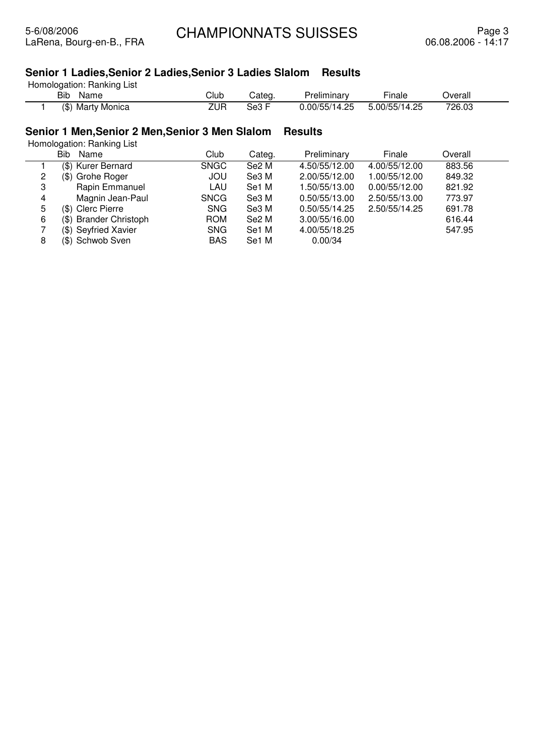## **Senior 1 Ladies,Senior 2 Ladies,Senior 3 Ladies Slalom Results**

Homologation: Ranking List

| <b>Bib</b><br>Name       | $\sim$<br>Jlub | `ateα<br>Jd. | relımınarv<br>مود        | - -<br>inale                           | Overall          |  |
|--------------------------|----------------|--------------|--------------------------|----------------------------------------|------------------|--|
| (\$)<br>Monica<br>, Mart | ZUR            | 5е3          | OF.<br>0.00/55/<br>4<br> | つら<br>5.00/<br>リトト<br>14<br>ے ۔<br>ັບບ | 72R N?<br>′∠0.∪J |  |

## **Senior 1 Men,Senior 2 Men,Senior 3 Men Slalom Results**

|   | Bib<br>Name            | Club        | Categ.            | Preliminary   | Finale        | Overall |  |
|---|------------------------|-------------|-------------------|---------------|---------------|---------|--|
|   | (\$) Kurer Bernard     | <b>SNGC</b> | Se2 M             | 4.50/55/12.00 | 4.00/55/12.00 | 883.56  |  |
| 2 | (\$) Grohe Roger       | <b>JOU</b>  | Se3 M             | 2.00/55/12.00 | 1.00/55/12.00 | 849.32  |  |
| 3 | Rapin Emmanuel         | LAU         | Se1 M             | 1.50/55/13.00 | 0.00/55/12.00 | 821.92  |  |
| 4 | Magnin Jean-Paul       | <b>SNCG</b> | Se3 M             | 0.50/55/13.00 | 2.50/55/13.00 | 773.97  |  |
| 5 | (\$) Clerc Pierre      | <b>SNG</b>  | Se3 M             | 0.50/55/14.25 | 2.50/55/14.25 | 691.78  |  |
| 6 | (\$) Brander Christoph | <b>ROM</b>  | Se <sub>2</sub> M | 3.00/55/16.00 |               | 616.44  |  |
|   | (\$) Seyfried Xavier   | <b>SNG</b>  | Se1 M             | 4.00/55/18.25 |               | 547.95  |  |
| 8 | (\$) Schwob Sven       | <b>BAS</b>  | Se1 M             | 0.00/34       |               |         |  |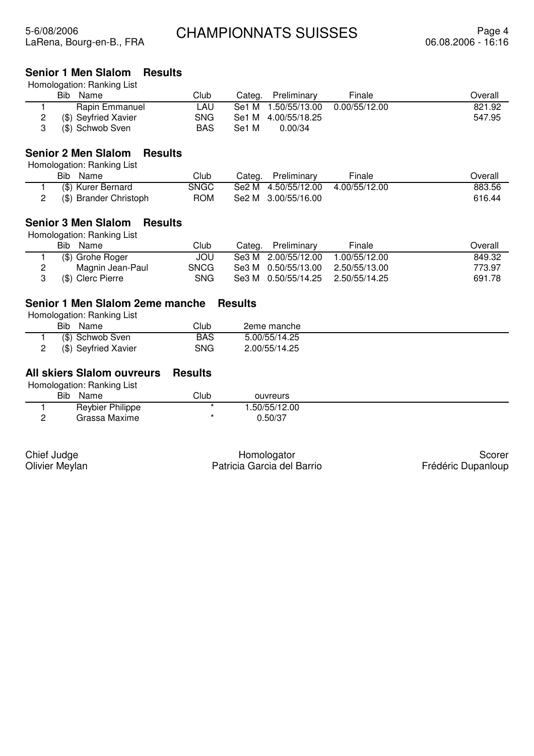### **Senior 1 Men Slalom Results**

Homologation: Ranking List

| <b>Bib</b><br>Name   | Club | Categ. | Preliminary         | Finale        | Overall |
|----------------------|------|--------|---------------------|---------------|---------|
| Rapin Emmanuel       | .AU  |        | Se1 M 1.50/55/13.00 | 0.00/55/12.00 | 821.92  |
| (\$) Seyfried Xavier | SNG  |        | Se1 M 4.00/55/18.25 |               | 547.95  |
| (\$) Schwob Sven     | BAS  | Se1 M  | 0.00/34             |               |         |

## **Senior 2 Men Slalom Results**

Homologation: Ranking List

| Bib<br>Name            | Club       | Preliminary<br>Categ. | Finale        | Dverall |
|------------------------|------------|-----------------------|---------------|---------|
| (\$) Kurer Bernard     | SNGC       | Se2 M 4.50/55/12.00   | 4.00/55/12.00 | 883.56  |
| (\$) Brander Christoph | <b>ROM</b> | Se2 M 3.00/55/16.00   |               | 616.44  |

#### **Senior 3 Men Slalom Results**

Homologation: Ranking List

| Bib Name          | Club        | Categ. Preliminary  | Finale                            | Overall |
|-------------------|-------------|---------------------|-----------------------------------|---------|
| (\$) Grohe Roger  | JOU.        | Se3 M 2.00/55/12.00 | 1.00/55/12.00                     | 849.32  |
| Magnin Jean-Paul  | <b>SNCG</b> | Se3 M 0.50/55/13.00 | 2.50/55/13.00                     | 773.97  |
| (\$) Clerc Pierre | SNG         |                     | Se3 M 0.50/55/14.25 2.50/55/14.25 | 691.78  |

#### **Senior 1 Men Slalom 2eme manche Results**

Homologation: Ranking List

| <b>Bib</b><br>Name   | $\mathsf{Club}$ | 2eme manche   |
|----------------------|-----------------|---------------|
| (\$) Schwob Sven     | <b>BAS</b>      | 5.00/55/14.25 |
| (\$) Seyfried Xavier | SNG             | 2.00/55/14.25 |

## **All skiers Slalom ouvreurs Results**

Homologation: Ranking List

|   | . .<br>. .<br><b>Bib</b><br>Name | $\mathsf{C}$ lub | ouvreurs     |  |
|---|----------------------------------|------------------|--------------|--|
|   | <b>Reybier Philippe</b>          |                  | .50/55/12.00 |  |
| - | Grassa Maxime                    |                  | 0.50/37      |  |

Chief Judge Olivier Meylan

Homologator Patricia Garcia del Barrio

Scorer Frédéric Dupanloup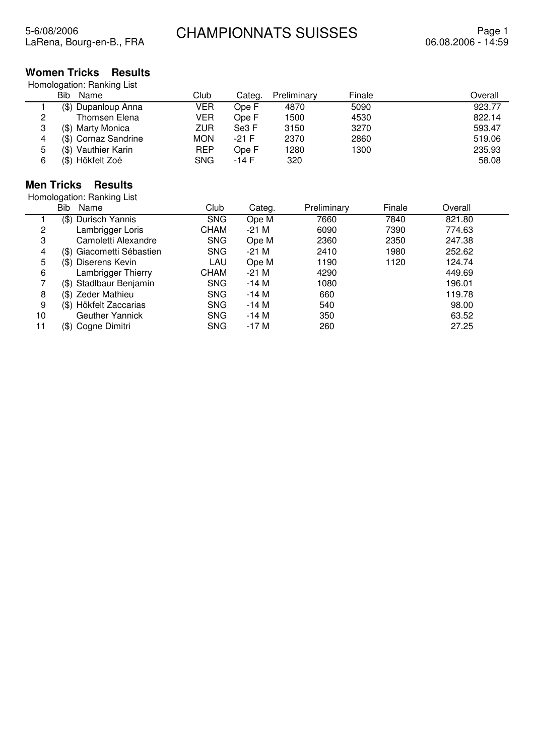## **Women Tricks Results**

Homologation: Ranking List

|   | Bib<br>Name          | Club       | Categ.  | Preliminary | Finale | Overall |
|---|----------------------|------------|---------|-------------|--------|---------|
|   | (\$) Dupanloup Anna  | VER        | Ope F   | 4870        | 5090   | 923.77  |
| 2 | Thomsen Elena        | VER        | Ope F   | 1500        | 4530   | 822.14  |
| 3 | (\$) Marty Monica    | ZUR        | Se3 F   | 3150        | 3270   | 593.47  |
| 4 | (\$) Cornaz Sandrine | <b>MON</b> | $-21$ F | 2370        | 2860   | 519.06  |
| 5 | (\$) Vauthier Karin  | <b>REP</b> | Ope F   | 1280        | 1300   | 235.93  |
| 6 | (\$) Hökfelt Zoé     | <b>SNG</b> | -14 F   | 320         |        | 58.08   |

## **Men Tricks Results**

|    | <b>Bib</b><br>Name        | Club        | Categ.  | Preliminary | Finale | Overall |  |
|----|---------------------------|-------------|---------|-------------|--------|---------|--|
|    | (\$) Durisch Yannis       | <b>SNG</b>  | Ope M   | 7660        | 7840   | 821.80  |  |
| 2  | Lambrigger Loris          | <b>CHAM</b> | -21 M   | 6090        | 7390   | 774.63  |  |
| 3  | Camoletti Alexandre       | <b>SNG</b>  | Ope M   | 2360        | 2350   | 247.38  |  |
| 4  | (\$) Giacometti Sébastien | <b>SNG</b>  | -21 M   | 2410        | 1980   | 252.62  |  |
| 5  | (\$) Diserens Kevin       | LAU         | Ope M   | 1190        | 1120   | 124.74  |  |
| 6  | Lambrigger Thierry        | <b>CHAM</b> | $-21$ M | 4290        |        | 449.69  |  |
|    | (\$) Stadlbaur Benjamin   | <b>SNG</b>  | $-14M$  | 1080        |        | 196.01  |  |
| 8  | (\$) Zeder Mathieu        | <b>SNG</b>  | $-14M$  | 660         |        | 119.78  |  |
| 9  | (\$) Hökfelt Zaccarias    | <b>SNG</b>  | $-14M$  | 540         |        | 98.00   |  |
| 10 | Geuther Yannick           | <b>SNG</b>  | $-14M$  | 350         |        | 63.52   |  |
| 11 | (\$) Cogne Dimitri        | <b>SNG</b>  | $-17M$  | 260         |        | 27.25   |  |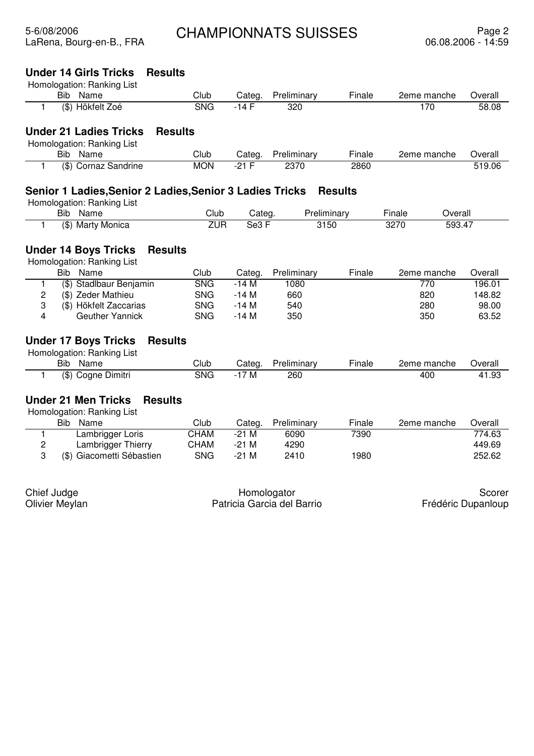| Homologation: Ranking List<br>Bib Name<br>Club<br>Categ.<br>Preliminary<br>Finale<br>2eme manche<br><b>SNG</b><br>(\$) Hökfelt Zoé<br>170<br>$-14F$<br>320<br>1 | Overall<br>58.08 |
|-----------------------------------------------------------------------------------------------------------------------------------------------------------------|------------------|
|                                                                                                                                                                 |                  |
|                                                                                                                                                                 |                  |
|                                                                                                                                                                 |                  |
| <b>Under 21 Ladies Tricks</b><br><b>Results</b>                                                                                                                 |                  |
| Homologation: Ranking List                                                                                                                                      |                  |
| Club<br>Name<br><b>Bib</b><br>Categ.<br>Preliminary<br>Finale<br>2eme manche                                                                                    | Overall          |
| (\$) Cornaz Sandrine<br><b>MON</b><br>2370<br>2860<br>-21 F<br>1.                                                                                               | 519.06           |
| Senior 1 Ladies, Senior 2 Ladies, Senior 3 Ladies Tricks<br><b>Results</b>                                                                                      |                  |
| Homologation: Ranking List                                                                                                                                      |                  |
| Club<br><b>Bib</b><br>Name<br>Preliminary<br>Categ.<br>Finale<br>Overall                                                                                        |                  |
| <b>ZUR</b><br>Se3 F<br>3270<br>593.47<br>(\$) Marty Monica<br>3150<br>1                                                                                         |                  |
|                                                                                                                                                                 |                  |
| <b>Under 14 Boys Tricks</b><br><b>Results</b>                                                                                                                   |                  |
| Homologation: Ranking List                                                                                                                                      |                  |
| <b>Bib</b><br>Name<br>Club<br>Finale<br>Preliminary<br>2eme manche<br>Categ.                                                                                    | Overall          |
| (\$) Stadlbaur Benjamin<br><b>SNG</b><br>$-14M$<br>1080<br>770<br>1                                                                                             | 196.01           |
| 2<br>(\$) Zeder Mathieu<br><b>SNG</b><br>$-14M$<br>820<br>660                                                                                                   | 148.82           |
| 3<br>(\$) Hökfelt Zaccarias<br><b>SNG</b><br>$-14M$<br>540<br>280                                                                                               | 98.00            |
| 4<br>Geuther Yannick<br><b>SNG</b><br>-14 M<br>350<br>350                                                                                                       | 63.52            |
| <b>Under 17 Boys Tricks</b><br><b>Results</b>                                                                                                                   |                  |
| Homologation: Ranking List                                                                                                                                      |                  |
| Club<br><b>Bib</b><br>Name<br>Preliminary<br>Finale<br>2eme manche<br>Categ.                                                                                    | Overall          |
| <b>SNG</b><br>$-17M$<br>(\$) Cogne Dimitri<br>260<br>400<br>1                                                                                                   | 41.93            |
|                                                                                                                                                                 |                  |
| <b>Under 21 Men Tricks</b><br><b>Results</b>                                                                                                                    |                  |
| Homologation: Ranking List                                                                                                                                      |                  |
| Club<br><b>Bib</b><br>Name<br>Preliminary<br>Finale<br>Categ.<br>2eme manche                                                                                    | Overall          |
| Lambrigger Loris<br><b>CHAM</b><br>$-21M$<br>7390<br>6090<br>1                                                                                                  | 774.63           |
| 2<br>Lambrigger Thierry<br><b>CHAM</b><br>$-21$ M<br>4290                                                                                                       | 449.69           |
| 3<br>(\$) Giacometti Sébastien<br><b>SNG</b><br>$-21$ M<br>1980<br>2410                                                                                         | 252.62           |
|                                                                                                                                                                 |                  |
| Chief Judge<br>Homologator                                                                                                                                      | Scorer           |
| Patricia Garcia del Barrio<br>Frédéric Dupanloup<br>Olivier Meylan                                                                                              |                  |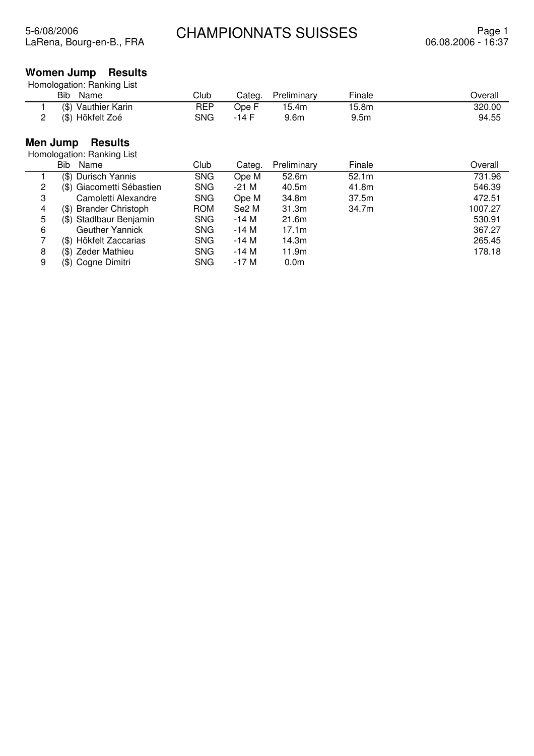## **Women Jump Results**

| Bib.<br>Name               | Club       | Categ. | Preliminary      | Finale           | Overall |
|----------------------------|------------|--------|------------------|------------------|---------|
| (\$) Vauthier Karin        | <b>REP</b> | Ope F  | 15.4m            | 15.8m            | 320.00  |
| (\$) Hökfelt Zoé<br>2      | <b>SNG</b> | -14 F  | 9.6 <sub>m</sub> | 9.5 <sub>m</sub> | 94.55   |
| Men Jump<br><b>Results</b> |            |        |                  |                  |         |
| Homologation: Ranking List |            |        |                  |                  |         |
| Bib Name                   | Club       | Categ. | Preliminary      | Finale           | Overall |
| (\$) Durisch Yannis        | <b>SNG</b> | Ope M  | 52.6m            | 52.1m            | 731.96  |

| 2 | (\$) Giacometti Sébastien | <b>SNG</b> | -21 M             | 40.5m             | 41.8m | 546.39  |
|---|---------------------------|------------|-------------------|-------------------|-------|---------|
| 3 | Camoletti Alexandre       | <b>SNG</b> | Ope M             | 34.8m             | 37.5m | 472.51  |
| 4 | (\$) Brander Christoph    | <b>ROM</b> | Se <sub>2</sub> M | 31.3 <sub>m</sub> | 34.7m | 1007.27 |
| 5 | (\$) Stadlbaur Benjamin   | <b>SNG</b> | -14 M             | 21.6m             |       | 530.91  |
| 6 | Geuther Yannick           | <b>SNG</b> | -14 M             | 17.1m             |       | 367.27  |
|   | (\$) Hökfelt Zaccarias    | <b>SNG</b> | -14 M             | 14.3m             |       | 265.45  |
| 8 | (\$) Zeder Mathieu        | <b>SNG</b> | -14 M             | 11.9m             |       | 178.18  |
| 9 | (\$) Cogne Dimitri        | <b>SNG</b> | -17 M             | 0.0 <sub>m</sub>  |       |         |
|   |                           |            |                   |                   |       |         |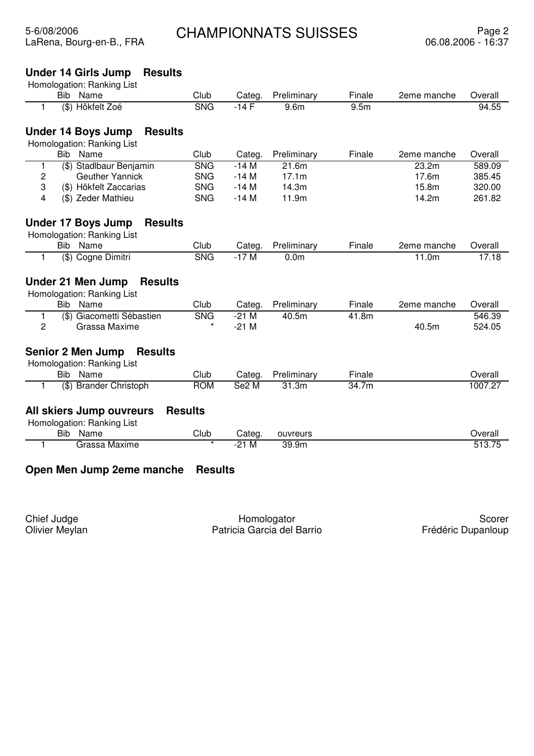## **Under 14 Girls Jump Results**

|    | Homologation: Ranking List                 |                           |         |                  |                  |             |         |
|----|--------------------------------------------|---------------------------|---------|------------------|------------------|-------------|---------|
|    | Bib Name                                   | Club                      | Categ.  | Preliminary      | Finale           | 2eme manche | Overall |
| 1  | (\$) Hökfelt Zoé                           | <b>SNG</b>                | $-14F$  | 9.6m             | 9.5 <sub>m</sub> |             | 94.55   |
|    | Under 14 Boys Jump<br><b>Results</b>       |                           |         |                  |                  |             |         |
|    | Homologation: Ranking List                 |                           |         |                  |                  |             |         |
|    | Bib.<br>Name                               | Club                      | Categ.  | Preliminary      | Finale           | 2eme manche | Overall |
| 1  | (\$) Stadlbaur Benjamin                    | <b>SNG</b>                | $-14M$  | 21.6m            |                  | 23.2m       | 589.09  |
| 2  | <b>Geuther Yannick</b>                     | <b>SNG</b>                | $-14M$  | 17.1m            |                  | 17.6m       | 385.45  |
| 3  | (\$) Hökfelt Zaccarias                     | <b>SNG</b>                | $-14M$  | 14.3m            |                  | 15.8m       | 320.00  |
| 4  | (\$) Zeder Mathieu                         | <b>SNG</b>                | $-14M$  | 11.9m            |                  | 14.2m       | 261.82  |
|    | Under 17 Boys Jump<br><b>Results</b>       |                           |         |                  |                  |             |         |
|    | Homologation: Ranking List                 |                           |         |                  |                  |             |         |
|    | <b>Bib</b><br>Name                         | Club                      | Categ.  | Preliminary      | Finale           | 2eme manche | Overall |
| 1  | (\$) Cogne Dimitri                         | <b>SNG</b>                | $-17M$  | 0.0 <sub>m</sub> |                  | 11.0m       | 17.18   |
|    | <b>Under 21 Men Jump</b><br><b>Results</b> |                           |         |                  |                  |             |         |
|    | Homologation: Ranking List                 |                           |         |                  |                  |             |         |
|    | Bib Name                                   | Club                      | Categ.  | Preliminary      | Finale           | 2eme manche | Overall |
| 1. | (\$) Giacometti Sébastien                  | <b>SNG</b>                | $-21$ M | 40.5m            | 41.8m            |             | 546.39  |
| 2  | Grassa Maxime                              | $\star$                   | $-21$ M |                  |                  | 40.5m       | 524.05  |
|    | <b>Senior 2 Men Jump</b><br><b>Results</b> |                           |         |                  |                  |             |         |
|    | Homologation: Ranking List                 |                           |         |                  |                  |             |         |
|    | Bib Name                                   | Club                      | Categ.  | Preliminary      | Finale           |             | Overall |
| 1  | (\$) Brander Christoph                     | <b>ROM</b>                | Se2 M   | 31.3m            | 34.7m            |             | 1007.27 |
|    |                                            | <b>Results</b>            |         |                  |                  |             |         |
|    | All skiers Jump ouvreurs                   |                           |         |                  |                  |             |         |
|    | Homologation: Ranking List<br><b>Bib</b>   |                           |         |                  |                  |             |         |
|    | Name                                       | Club<br>$\overline{\ast}$ | Categ.  | ouvreurs         |                  |             | Overall |
| 1  | Grassa Maxime                              |                           | $-21$ M | 39.9m            |                  |             | 513.75  |
|    |                                            |                           |         |                  |                  |             |         |

## **Open Men Jump 2eme manche Results**

Chief Judge Olivier Meylan

Homologator Patricia Garcia del Barrio

Scorer Frédéric Dupanloup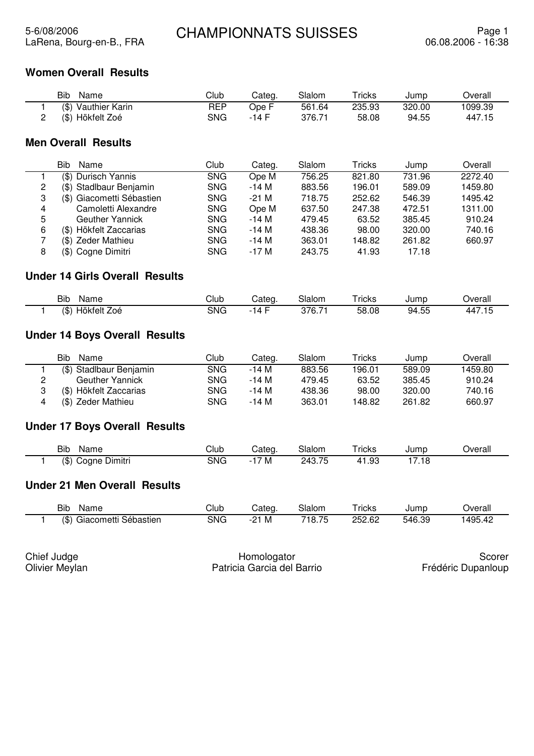## **Women Overall Results**

| Bib<br>Name         | Club       | Categ. | Slalom | Tricks | Jump   | Overall |
|---------------------|------------|--------|--------|--------|--------|---------|
| (\$) Vauthier Karin | <b>REP</b> | Ope F  | 561.64 | 235.93 | 320.00 | 1099.39 |
| (\$) Hökfelt Zoé    | SNG        | -14 F  | 376.71 | 58.08  | 94.55  | 447.15  |

### **Men Overall Results**

|   | Bib<br>Name               | Club       | Categ. | Slalom | Tricks | Jump   | Overall |
|---|---------------------------|------------|--------|--------|--------|--------|---------|
|   | Durisch Yannis<br>(\$)    | <b>SNG</b> | Ope M  | 756.25 | 821.80 | 731.96 | 2272.40 |
| 2 | (\$) Stadlbaur Benjamin   | <b>SNG</b> | $-14M$ | 883.56 | 196.01 | 589.09 | 1459.80 |
| 3 | (\$) Giacometti Sébastien | <b>SNG</b> | $-21M$ | 718.75 | 252.62 | 546.39 | 1495.42 |
| 4 | Camoletti Alexandre       | <b>SNG</b> | Ope M  | 637.50 | 247.38 | 472.51 | 1311.00 |
| 5 | <b>Geuther Yannick</b>    | <b>SNG</b> | $-14M$ | 479.45 | 63.52  | 385.45 | 910.24  |
| 6 | (\$) Hökfelt Zaccarias    | <b>SNG</b> | $-14M$ | 438.36 | 98.00  | 320.00 | 740.16  |
|   | (\$) Zeder Mathieu        | <b>SNG</b> | $-14M$ | 363.01 | 148.82 | 261.82 | 660.97  |
| 8 | (\$) Cogne Dimitri        | <b>SNG</b> | $-17M$ | 243.75 | 41.93  | 17.18  |         |
|   |                           |            |        |        |        |        |         |

## **Under 14 Girls Overall Results**

| <b>Bib</b><br>Name       | Club       | ategات     | Slalom                    | $T$ ricks | Jump                  | )verall |
|--------------------------|------------|------------|---------------------------|-----------|-----------------------|---------|
| Hökfelt .<br>(\$)<br>∠oé | <b>SNG</b> | $\sqrt{ }$ | 27R 71<br><u>u</u><br>◡.≀ | 58.08     | .<br>94.<br>トト<br>−…∪ | 44<br>. |

## **Under 14 Boys Overall Results**

| Bib<br><b>Name</b>      | Club | Categ. | Slalom | $\tau$ ricks | Jump   | Overall |
|-------------------------|------|--------|--------|--------------|--------|---------|
| (\$) Stadlbaur Benjamin | SNG  | -14 M  | 883.56 | 196.01       | 589.09 | 1459.80 |
| <b>Geuther Yannick</b>  | SNG  | -14 M  | 479.45 | 63.52        | 385.45 | 910.24  |
| (\$) Hökfelt Zaccarias  | SNG  | -14 M  | 438.36 | 98.00        | 320.00 | 740.16  |
| (\$) Zeder Mathieu      | SNG  | -14 M  | 363.01 | 148.82       | 261.82 | 660.97  |

## **Under 17 Boys Overall Results**

| Bib<br>Name                                        | Club       | Categ                         | Slalom              | $\tau$ ricks | Jump          | Jverall |
|----------------------------------------------------|------------|-------------------------------|---------------------|--------------|---------------|---------|
| $$\mathfrak{B}$$<br>. .<br>- -<br>Dimitri<br>Cogne | <b>SNG</b> | м<br>$\overline{\phantom{0}}$ | <b>75</b><br>243.75 | റാ<br>⊏ט. ו  | - 10<br>. . 0 |         |

#### **Under 21 Men Overall Results**

| Bib<br>Name                     | Club       | Categ         | Slalom                  | ricks  | Jump   | Jverall |
|---------------------------------|------------|---------------|-------------------------|--------|--------|---------|
| (\$`<br>Sébastien<br>Giacometti | <b>SNG</b> | ົ<br>M<br>- - | $Q$ 75<br>י 8.<br>. . ب | 252.62 | 546.39 | ے4۔1495 |

| Chief Judge    | Homologator                | Scorer             |
|----------------|----------------------------|--------------------|
| Olivier Meylan | Patricia Garcia del Barrio | Frédéric Dupanloup |